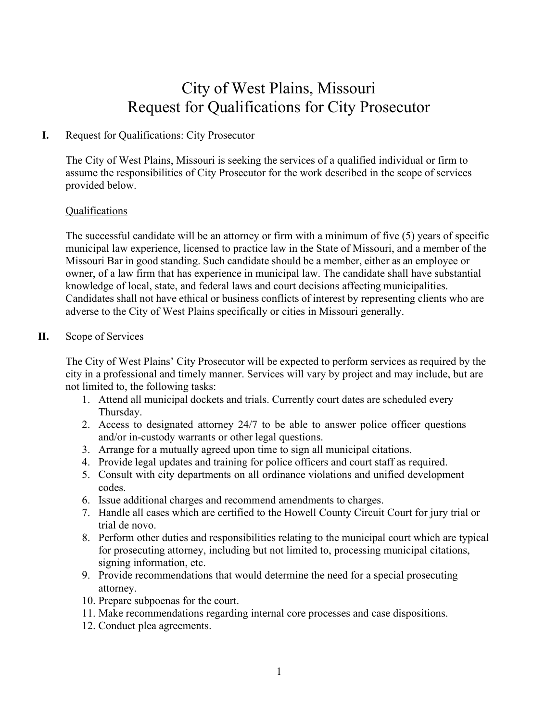# City of West Plains, Missouri Request for Qualifications for City Prosecutor

## **I.** Request for Qualifications: City Prosecutor

The City of West Plains, Missouri is seeking the services of a qualified individual or firm to assume the responsibilities of City Prosecutor for the work described in the scope of services provided below.

#### Qualifications

The successful candidate will be an attorney or firm with a minimum of five (5) years of specific municipal law experience, licensed to practice law in the State of Missouri, and a member of the Missouri Bar in good standing. Such candidate should be a member, either as an employee or owner, of a law firm that has experience in municipal law. The candidate shall have substantial knowledge of local, state, and federal laws and court decisions affecting municipalities. Candidates shall not have ethical or business conflicts of interest by representing clients who are adverse to the City of West Plains specifically or cities in Missouri generally.

## **II.** Scope of Services

The City of West Plains' City Prosecutor will be expected to perform services as required by the city in a professional and timely manner. Services will vary by project and may include, but are not limited to, the following tasks:

- 1. Attend all municipal dockets and trials. Currently court dates are scheduled every Thursday.
- 2. Access to designated attorney 24/7 to be able to answer police officer questions and/or in-custody warrants or other legal questions.
- 3. Arrange for a mutually agreed upon time to sign all municipal citations.
- 4. Provide legal updates and training for police officers and court staff as required.
- 5. Consult with city departments on all ordinance violations and unified development codes.
- 6. Issue additional charges and recommend amendments to charges.
- 7. Handle all cases which are certified to the Howell County Circuit Court for jury trial or trial de novo.
- 8. Perform other duties and responsibilities relating to the municipal court which are typical for prosecuting attorney, including but not limited to, processing municipal citations, signing information, etc.
- 9. Provide recommendations that would determine the need for a special prosecuting attorney.
- 10. Prepare subpoenas for the court.
- 11. Make recommendations regarding internal core processes and case dispositions.
- 12. Conduct plea agreements.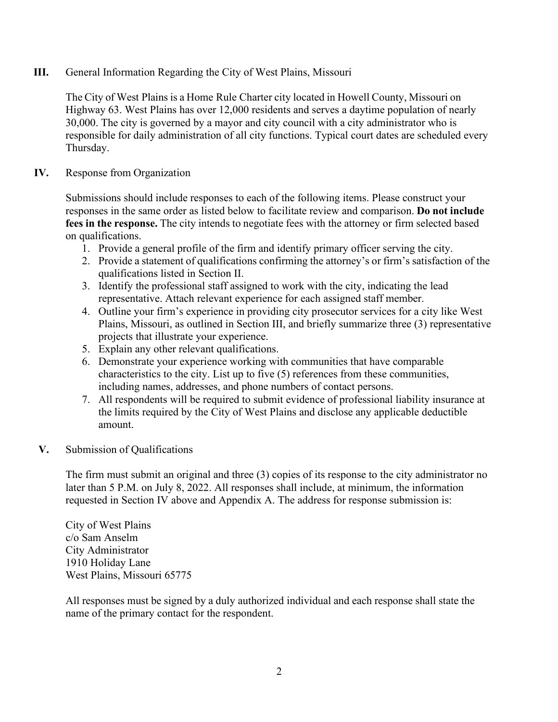## **III.** General Information Regarding the City of West Plains, Missouri

The City of West Plains is a Home Rule Charter city located in Howell County, Missouri on Highway 63. West Plains has over 12,000 residents and serves a daytime population of nearly 30,000. The city is governed by a mayor and city council with a city administrator who is responsible for daily administration of all city functions. Typical court dates are scheduled every Thursday.

## **IV.** Response from Organization

Submissions should include responses to each of the following items. Please construct your responses in the same order as listed below to facilitate review and comparison. **Do not include fees in the response.** The city intends to negotiate fees with the attorney or firm selected based on qualifications.

- 1. Provide a general profile of the firm and identify primary officer serving the city.
- 2. Provide a statement of qualifications confirming the attorney's or firm's satisfaction of the qualifications listed in Section II.
- 3. Identify the professional staff assigned to work with the city, indicating the lead representative. Attach relevant experience for each assigned staff member.
- 4. Outline your firm's experience in providing city prosecutor services for a city like West Plains, Missouri, as outlined in Section III, and briefly summarize three (3) representative projects that illustrate your experience.
- 5. Explain any other relevant qualifications.
- 6. Demonstrate your experience working with communities that have comparable characteristics to the city. List up to five (5) references from these communities, including names, addresses, and phone numbers of contact persons.
- 7. All respondents will be required to submit evidence of professional liability insurance at the limits required by the City of West Plains and disclose any applicable deductible amount.

# **V.** Submission of Qualifications

The firm must submit an original and three (3) copies of its response to the city administrator no later than 5 P.M. on July 8, 2022. All responses shall include, at minimum, the information requested in Section IV above and Appendix A. The address for response submission is:

City of West Plains c/o Sam Anselm City Administrator 1910 Holiday Lane West Plains, Missouri 65775

All responses must be signed by a duly authorized individual and each response shall state the name of the primary contact for the respondent.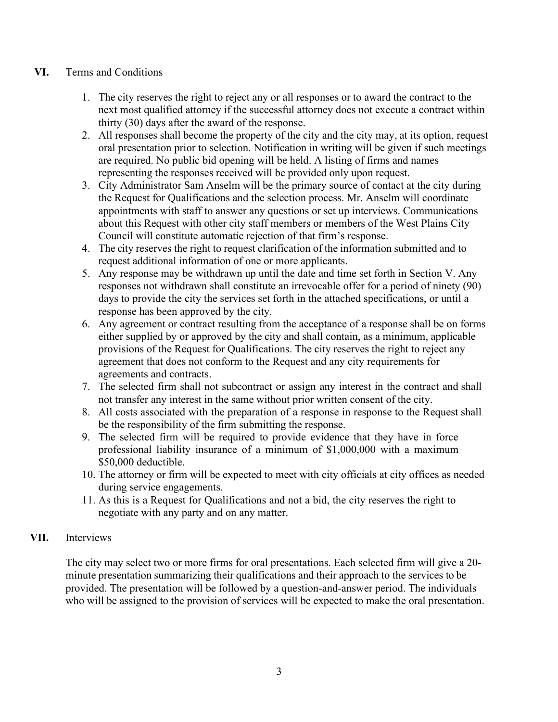## **VI.** Terms and Conditions

- 1. The city reserves the right to reject any or all responses or to award the contract to the next most qualified attorney if the successful attorney does not execute a contract within thirty (30) days after the award of the response.
- 2. All responses shall become the property of the city and the city may, at its option, request oral presentation prior to selection. Notification in writing will be given if such meetings are required. No public bid opening will be held. A listing of firms and names representing the responses received will be provided only upon request.
- 3. City Administrator Sam Anselm will be the primary source of contact at the city during the Request for Qualifications and the selection process. Mr. Anselm will coordinate appointments with staff to answer any questions or set up interviews. Communications about this Request with other city staff members or members of the West Plains City Council will constitute automatic rejection of that firm's response.
- 4. The city reserves the right to request clarification of the information submitted and to request additional information of one or more applicants.
- 5. Any response may be withdrawn up until the date and time set forth in Section V. Any responses not withdrawn shall constitute an irrevocable offer for a period of ninety (90) days to provide the city the services set forth in the attached specifications, or until a response has been approved by the city.
- 6. Any agreement or contract resulting from the acceptance of a response shall be on forms either supplied by or approved by the city and shall contain, as a minimum, applicable provisions of the Request for Qualifications. The city reserves the right to reject any agreement that does not conform to the Request and any city requirements for agreements and contracts.
- 7. The selected firm shall not subcontract or assign any interest in the contract and shall not transfer any interest in the same without prior written consent of the city.
- 8. All costs associated with the preparation of a response in response to the Request shall be the responsibility of the firm submitting the response.
- 9. The selected firm will be required to provide evidence that they have in force professional liability insurance of a minimum of \$1,000,000 with a maximum \$50,000 deductible.
- 10. The attorney or firm will be expected to meet with city officials at city offices as needed during service engagements.
- 11. As this is a Request for Qualifications and not a bid, the city reserves the right to negotiate with any party and on any matter.

# **VII.** Interviews

The city may select two or more firms for oral presentations. Each selected firm will give a 20 minute presentation summarizing their qualifications and their approach to the services to be provided. The presentation will be followed by a question-and-answer period. The individuals who will be assigned to the provision of services will be expected to make the oral presentation.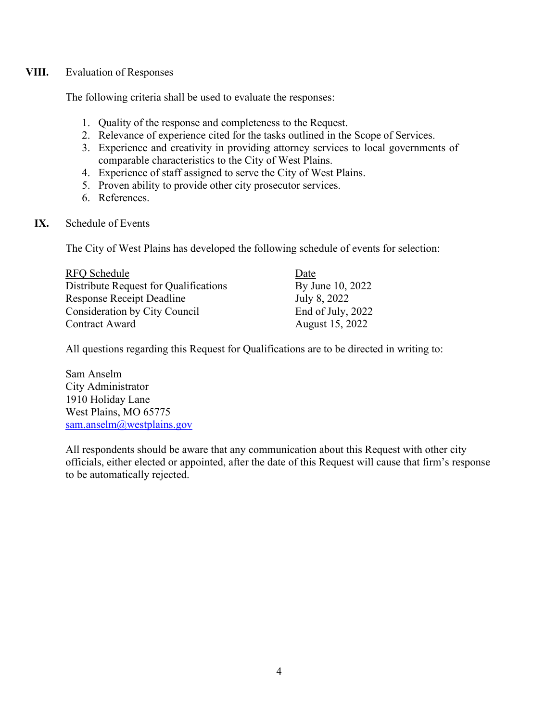### **VIII.** Evaluation of Responses

The following criteria shall be used to evaluate the responses:

- 1. Quality of the response and completeness to the Request.
- 2. Relevance of experience cited for the tasks outlined in the Scope of Services.
- 3. Experience and creativity in providing attorney services to local governments of comparable characteristics to the City of West Plains.
- 4. Experience of staff assigned to serve the City of West Plains.
- 5. Proven ability to provide other city prosecutor services.
- 6. References.
- **IX.** Schedule of Events

The City of West Plains has developed the following schedule of events for selection:

| RFQ Schedule                          | Date              |
|---------------------------------------|-------------------|
| Distribute Request for Qualifications | By June 10, 2022  |
| <b>Response Receipt Deadline</b>      | July 8, 2022      |
| <b>Consideration by City Council</b>  | End of July, 2022 |
| Contract Award                        | August 15, 2022   |

All questions regarding this Request for Qualifications are to be directed in writing to:

Sam Anselm City Administrator 1910 Holiday Lane West Plains, MO 65775 [sam.anselm@westplains.gov](mailto:sam.anselm@westplains.gov)

All respondents should be aware that any communication about this Request with other city officials, either elected or appointed, after the date of this Request will cause that firm's response to be automatically rejected.